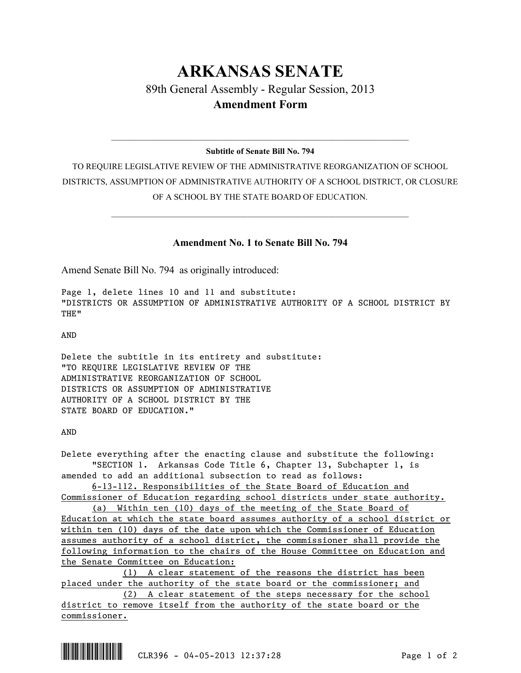## **ARKANSAS SENATE**

89th General Assembly - Regular Session, 2013 **Amendment Form**

## $\mathcal{L}_\mathcal{L} = \mathcal{L}_\mathcal{L} = \mathcal{L}_\mathcal{L} = \mathcal{L}_\mathcal{L} = \mathcal{L}_\mathcal{L} = \mathcal{L}_\mathcal{L} = \mathcal{L}_\mathcal{L} = \mathcal{L}_\mathcal{L} = \mathcal{L}_\mathcal{L} = \mathcal{L}_\mathcal{L} = \mathcal{L}_\mathcal{L} = \mathcal{L}_\mathcal{L} = \mathcal{L}_\mathcal{L} = \mathcal{L}_\mathcal{L} = \mathcal{L}_\mathcal{L} = \mathcal{L}_\mathcal{L} = \mathcal{L}_\mathcal{L}$ **Subtitle of Senate Bill No. 794**

TO REQUIRE LEGISLATIVE REVIEW OF THE ADMINISTRATIVE REORGANIZATION OF SCHOOL DISTRICTS, ASSUMPTION OF ADMINISTRATIVE AUTHORITY OF A SCHOOL DISTRICT, OR CLOSURE OF A SCHOOL BY THE STATE BOARD OF EDUCATION.

 $\mathcal{L}_\mathcal{L} = \mathcal{L}_\mathcal{L} = \mathcal{L}_\mathcal{L} = \mathcal{L}_\mathcal{L} = \mathcal{L}_\mathcal{L} = \mathcal{L}_\mathcal{L} = \mathcal{L}_\mathcal{L} = \mathcal{L}_\mathcal{L} = \mathcal{L}_\mathcal{L} = \mathcal{L}_\mathcal{L} = \mathcal{L}_\mathcal{L} = \mathcal{L}_\mathcal{L} = \mathcal{L}_\mathcal{L} = \mathcal{L}_\mathcal{L} = \mathcal{L}_\mathcal{L} = \mathcal{L}_\mathcal{L} = \mathcal{L}_\mathcal{L}$ 

## **Amendment No. 1 to Senate Bill No. 794**

Amend Senate Bill No. 794 as originally introduced:

Page 1, delete lines 10 and 11 and substitute: "DISTRICTS OR ASSUMPTION OF ADMINISTRATIVE AUTHORITY OF A SCHOOL DISTRICT BY THE"

AND

Delete the subtitle in its entirety and substitute: "TO REQUIRE LEGISLATIVE REVIEW OF THE ADMINISTRATIVE REORGANIZATION OF SCHOOL DISTRICTS OR ASSUMPTION OF ADMINISTRATIVE AUTHORITY OF A SCHOOL DISTRICT BY THE STATE BOARD OF EDUCATION."

AND

Delete everything after the enacting clause and substitute the following: "SECTION 1. Arkansas Code Title 6, Chapter 13, Subchapter 1, is amended to add an additional subsection to read as follows: 6-13-112. Responsibilities of the State Board of Education and Commissioner of Education regarding school districts under state authority. (a) Within ten (10) days of the meeting of the State Board of Education at which the state board assumes authority of a school district or within ten (10) days of the date upon which the Commissioner of Education assumes authority of a school district, the commissioner shall provide the following information to the chairs of the House Committee on Education and the Senate Committee on Education: (1) A clear statement of the reasons the district has been

placed under the authority of the state board or the commissioner; and (2) A clear statement of the steps necessary for the school district to remove itself from the authority of the state board or the commissioner.